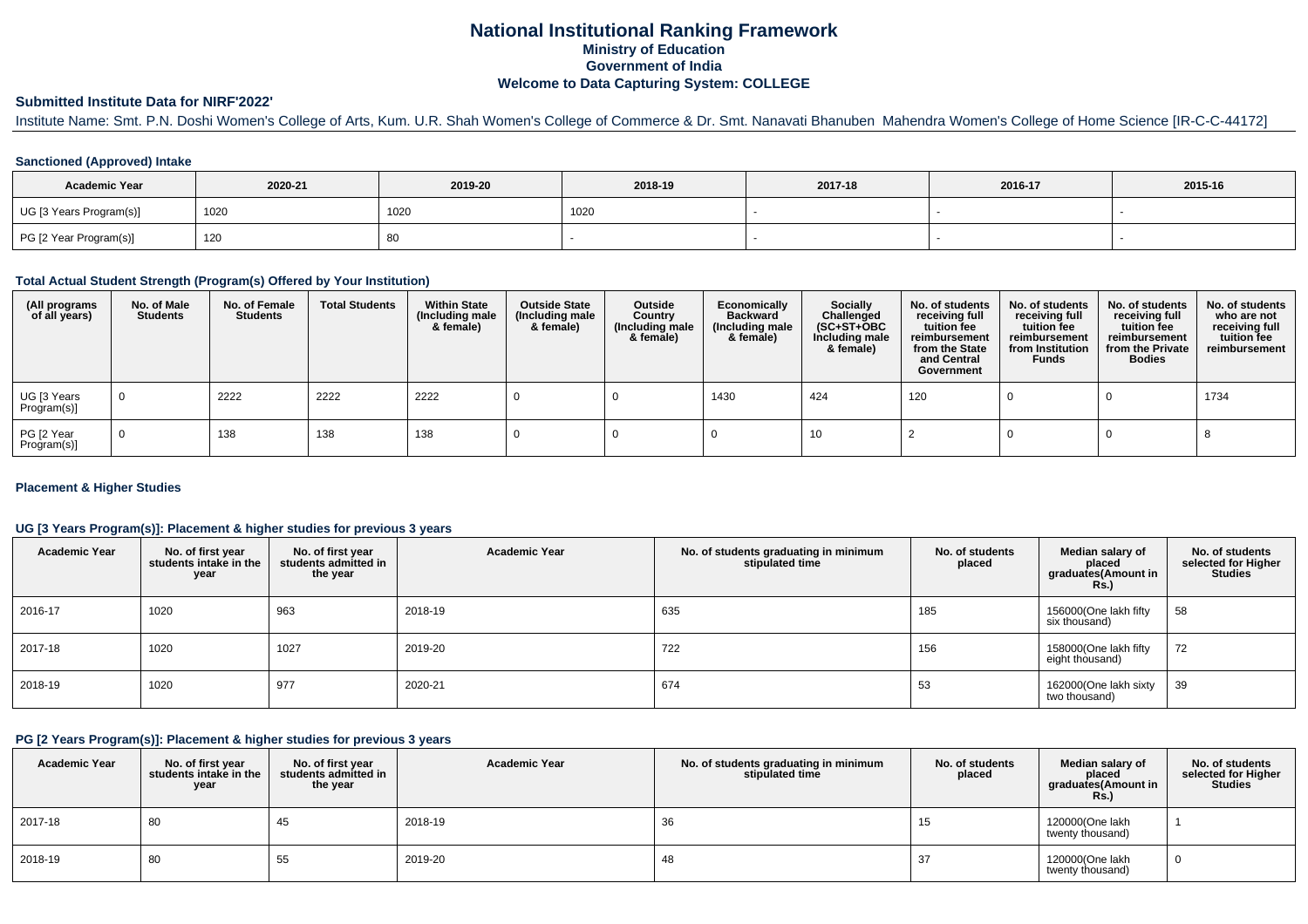# **National Institutional Ranking FrameworkMinistry of Education Government of IndiaWelcome to Data Capturing System: COLLEGE**

### **Submitted Institute Data for NIRF'2022'**

Institute Name: Smt. P.N. Doshi Women's College of Arts, Kum. U.R. Shah Women's College of Commerce & Dr. Smt. Nanavati Bhanuben Mahendra Women's College of Home Science [IR-C-C-44172]

### **Sanctioned (Approved) Intake**

| <b>Academic Year</b>    | 2020-21 | 2019-20 | 2018-19 | 2017-18 | 2016-17 | 2015-16 |
|-------------------------|---------|---------|---------|---------|---------|---------|
| UG [3 Years Program(s)] | 1020    | 1020    | 1020    |         |         |         |
| PG [2 Year Program(s)]  | 120     | 80      |         |         |         |         |

#### **Total Actual Student Strength (Program(s) Offered by Your Institution)**

| (All programs<br>of all years) | No. of Male<br><b>Students</b> | No. of Female<br><b>Students</b> | <b>Total Students</b> | <b>Within State</b><br>(Including male<br>& female) | <b>Outside State</b><br>(Including male<br>& female) | Outside<br>Country<br>(Including male<br>& female) | Economically<br><b>Backward</b><br>(Including male<br>& female) | <b>Socially</b><br>Challenged<br>$(SC+ST+OBC)$<br>Including male<br>& female) | No. of students<br>receiving full<br>tuition fee<br>reimbursement<br>from the State<br>and Central<br>Government | No. of students<br>receiving full<br>tuition fee<br>reimbursement<br>from Institution<br><b>Funds</b> | No. of students<br>receiving full<br>tuition fee<br>reimbursement<br>from the Private<br><b>Bodies</b> | No. of students<br>who are not<br>receiving full<br>tuition fee<br>reimbursement |
|--------------------------------|--------------------------------|----------------------------------|-----------------------|-----------------------------------------------------|------------------------------------------------------|----------------------------------------------------|-----------------------------------------------------------------|-------------------------------------------------------------------------------|------------------------------------------------------------------------------------------------------------------|-------------------------------------------------------------------------------------------------------|--------------------------------------------------------------------------------------------------------|----------------------------------------------------------------------------------|
| UG [3 Years<br>Program(s)]     | $\overline{0}$                 | 2222                             | 2222                  | 2222                                                |                                                      |                                                    | 1430                                                            | 424                                                                           | 120                                                                                                              |                                                                                                       |                                                                                                        | 1734                                                                             |
| PG [2 Year<br>Program(s)]      | $\Omega$                       | 138                              | 138                   | 138                                                 |                                                      |                                                    |                                                                 | 10                                                                            |                                                                                                                  |                                                                                                       |                                                                                                        |                                                                                  |

### **Placement & Higher Studies**

### **UG [3 Years Program(s)]: Placement & higher studies for previous 3 years**

| <b>Academic Year</b> | No. of first year<br>students intake in the<br>year | No. of first year<br>students admitted in<br>the year | <b>Academic Year</b> | No. of students graduating in minimum<br>stipulated time | No. of students<br>placed | Median salary of<br>placed<br>graduates(Amount in<br><b>Rs.)</b> | No. of students<br>selected for Higher<br><b>Studies</b> |
|----------------------|-----------------------------------------------------|-------------------------------------------------------|----------------------|----------------------------------------------------------|---------------------------|------------------------------------------------------------------|----------------------------------------------------------|
| 2016-17              | 1020                                                | 963                                                   | 2018-19              | 635                                                      | 185                       | 156000(One lakh fifty<br>six thousand)                           | 58                                                       |
| 2017-18              | 1020                                                | 1027                                                  | 2019-20              | 722                                                      | 156                       | 158000(One lakh fifty<br>eight thousand)                         | 72                                                       |
| 2018-19              | 1020                                                | 977                                                   | 2020-21              | 674                                                      | 53                        | 162000(One lakh sixty<br>two thousand)                           | 39                                                       |

#### **PG [2 Years Program(s)]: Placement & higher studies for previous 3 years**

| <b>Academic Year</b> | No. of first year<br>students intake in the<br>year | No. of first vear<br>students admitted in<br>the year | <b>Academic Year</b> | No. of students graduating in minimum<br>stipulated time | No. of students<br>placed | Median salary of<br>placed<br>graduates(Amount in<br>Rs.) | No. of students<br>selected for Higher<br><b>Studies</b> |
|----------------------|-----------------------------------------------------|-------------------------------------------------------|----------------------|----------------------------------------------------------|---------------------------|-----------------------------------------------------------|----------------------------------------------------------|
| 2017-18              | 80                                                  | 45                                                    | 2018-19              | 36                                                       | 15                        | 120000(One lakh<br>twenty thousand)                       |                                                          |
| 2018-19              | 80                                                  | 55                                                    | 2019-20              | 48                                                       | 37                        | 120000(One lakh<br>twenty thousand)                       |                                                          |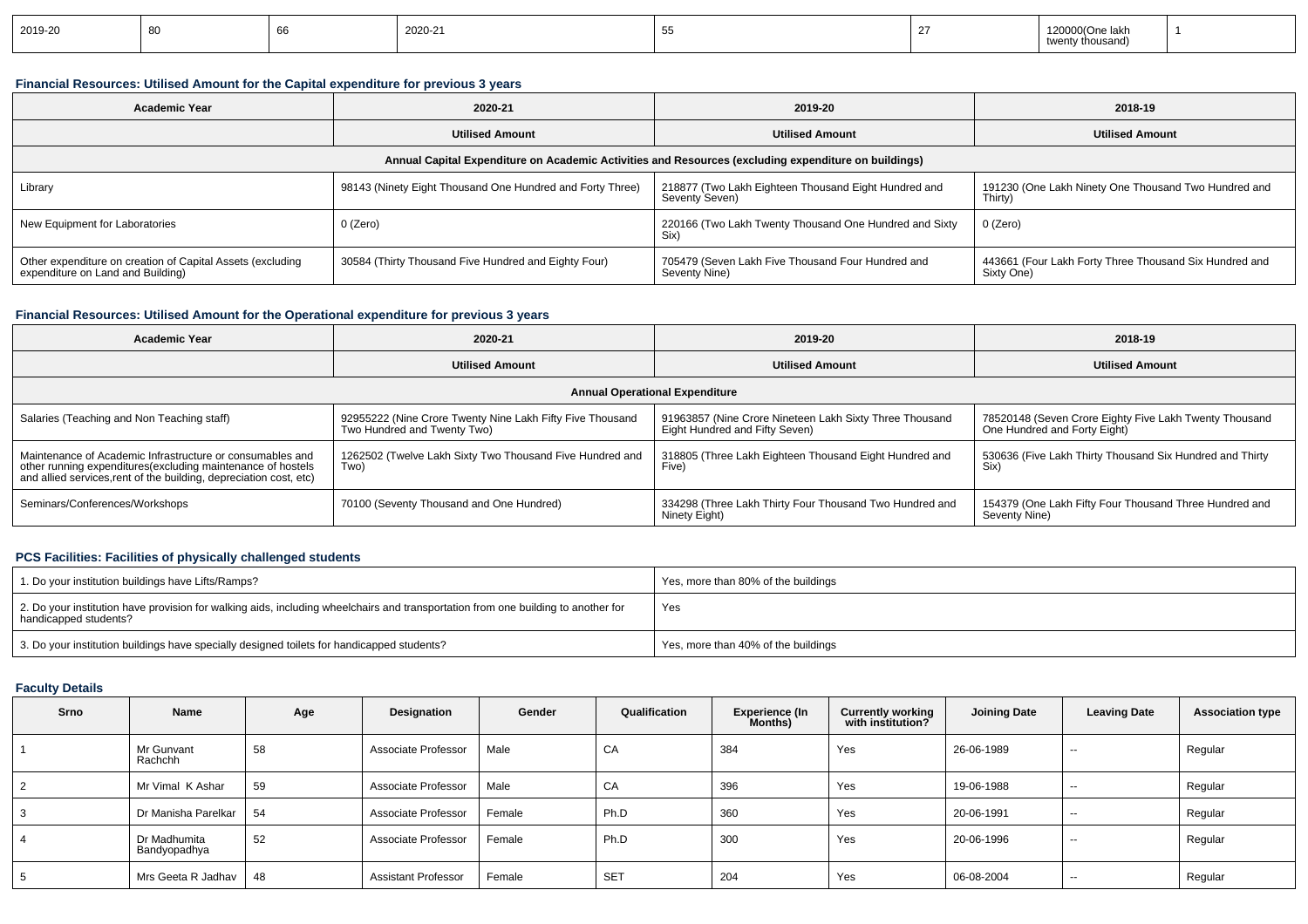| 2019-20 |  |  | ാവ വ<br>$1/1 - 1$ |  |  | )00/One lakh<br>ousand)<br>. <del>.</del> |  |
|---------|--|--|-------------------|--|--|-------------------------------------------|--|
|---------|--|--|-------------------|--|--|-------------------------------------------|--|

### **Financial Resources: Utilised Amount for the Capital expenditure for previous 3 years**

| <b>Academic Year</b>                                                                                 | 2020-21                                                   | 2019-20                                                                | 2018-19                                                              |  |  |  |  |  |  |  |
|------------------------------------------------------------------------------------------------------|-----------------------------------------------------------|------------------------------------------------------------------------|----------------------------------------------------------------------|--|--|--|--|--|--|--|
|                                                                                                      | <b>Utilised Amount</b>                                    | <b>Utilised Amount</b>                                                 | <b>Utilised Amount</b>                                               |  |  |  |  |  |  |  |
| Annual Capital Expenditure on Academic Activities and Resources (excluding expenditure on buildings) |                                                           |                                                                        |                                                                      |  |  |  |  |  |  |  |
| Library                                                                                              | 98143 (Ninety Eight Thousand One Hundred and Forty Three) | 218877 (Two Lakh Eighteen Thousand Eight Hundred and<br>Seventy Seven) | 191230 (One Lakh Ninety One Thousand Two Hundred and<br>Thirty)      |  |  |  |  |  |  |  |
| New Equipment for Laboratories                                                                       | 0 (Zero)                                                  | 220166 (Two Lakh Twenty Thousand One Hundred and Sixty<br>Six)         | 0 (Zero)                                                             |  |  |  |  |  |  |  |
| Other expenditure on creation of Capital Assets (excluding<br>expenditure on Land and Building)      | 30584 (Thirty Thousand Five Hundred and Eighty Four)      | 705479 (Seven Lakh Five Thousand Four Hundred and<br>Seventy Nine)     | 443661 (Four Lakh Forty Three Thousand Six Hundred and<br>Sixty One) |  |  |  |  |  |  |  |

### **Financial Resources: Utilised Amount for the Operational expenditure for previous 3 years**

| <b>Academic Year</b>                                                                                                                                                                            | 2020-21                                                                                  | 2019-20                                                                                   | 2018-19                                                                                |  |  |  |  |  |  |  |
|-------------------------------------------------------------------------------------------------------------------------------------------------------------------------------------------------|------------------------------------------------------------------------------------------|-------------------------------------------------------------------------------------------|----------------------------------------------------------------------------------------|--|--|--|--|--|--|--|
|                                                                                                                                                                                                 | <b>Utilised Amount</b>                                                                   |                                                                                           | <b>Utilised Amount</b>                                                                 |  |  |  |  |  |  |  |
| <b>Annual Operational Expenditure</b>                                                                                                                                                           |                                                                                          |                                                                                           |                                                                                        |  |  |  |  |  |  |  |
| Salaries (Teaching and Non Teaching staff)                                                                                                                                                      | 92955222 (Nine Crore Twenty Nine Lakh Fifty Five Thousand<br>Two Hundred and Twenty Two) | 91963857 (Nine Crore Nineteen Lakh Sixty Three Thousand<br>Eight Hundred and Fifty Seven) | 78520148 (Seven Crore Eighty Five Lakh Twenty Thousand<br>One Hundred and Forty Eight) |  |  |  |  |  |  |  |
| Maintenance of Academic Infrastructure or consumables and<br>other running expenditures (excluding maintenance of hostels<br>and allied services, rent of the building, depreciation cost, etc) | 1262502 (Twelve Lakh Sixty Two Thousand Five Hundred and<br>Two)                         | 318805 (Three Lakh Eighteen Thousand Eight Hundred and<br>Five)                           | 530636 (Five Lakh Thirty Thousand Six Hundred and Thirty<br>Six)                       |  |  |  |  |  |  |  |
| Seminars/Conferences/Workshops                                                                                                                                                                  | 70100 (Seventy Thousand and One Hundred)                                                 | 334298 (Three Lakh Thirty Four Thousand Two Hundred and<br>Ninety Eight)                  | 154379 (One Lakh Fifty Four Thousand Three Hundred and<br>Seventy Nine)                |  |  |  |  |  |  |  |

### **PCS Facilities: Facilities of physically challenged students**

| 1. Do your institution buildings have Lifts/Ramps?                                                                                                         | Yes, more than 80% of the buildings |
|------------------------------------------------------------------------------------------------------------------------------------------------------------|-------------------------------------|
| 2. Do your institution have provision for walking aids, including wheelchairs and transportation from one building to another for<br>handicapped students? | Yes                                 |
| 3. Do your institution buildings have specially designed toilets for handicapped students?                                                                 | Yes, more than 40% of the buildings |

## **Faculty Details**

| Srno | Name                         | Age | Designation                | Gender | Qualification | Experience (In<br>Months) | <b>Currently working</b><br>with institution? | <b>Joining Date</b> | <b>Leaving Date</b> | <b>Association type</b> |
|------|------------------------------|-----|----------------------------|--------|---------------|---------------------------|-----------------------------------------------|---------------------|---------------------|-------------------------|
|      | Mr Gunvant<br>Rachchh        | 58  | Associate Professor        | Male   | CA            | 384                       | Yes                                           | 26-06-1989          | $-$                 | Regular                 |
| 2    | Mr Vimal K Ashar             | 59  | Associate Professor        | Male   | CA            | 396                       | Yes                                           | 19-06-1988          | $- -$               | Regular                 |
| 3    | Dr Manisha Parelkar          | 54  | Associate Professor        | Female | Ph.D          | 360                       | Yes                                           | 20-06-1991          | $\sim$              | Regular                 |
| 4    | Dr Madhumita<br>Bandyopadhya | 52  | Associate Professor        | Female | Ph.D          | 300                       | Yes                                           | 20-06-1996          | $-$                 | Regular                 |
| 5    | Mrs Geeta R Jadhav           | 48  | <b>Assistant Professor</b> | Female | <b>SET</b>    | 204                       | Yes                                           | 06-08-2004          | $-$                 | Regular                 |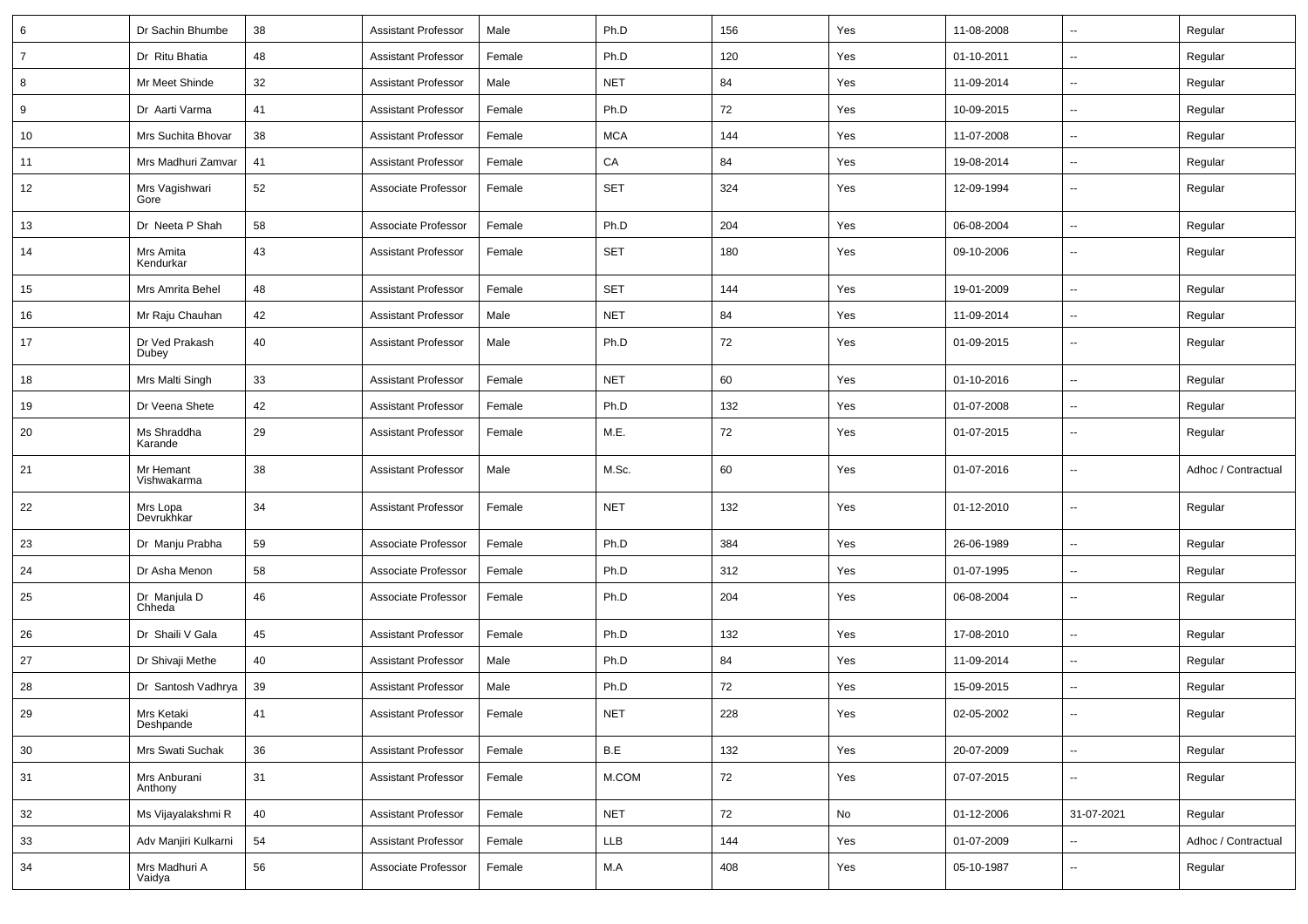| 6              | Dr Sachin Bhumbe         | 38 | <b>Assistant Professor</b> | Male   | Ph.D                    | 156 | Yes | 11-08-2008 | $\overline{\phantom{a}}$ | Regular             |
|----------------|--------------------------|----|----------------------------|--------|-------------------------|-----|-----|------------|--------------------------|---------------------|
| $\overline{7}$ | Dr Ritu Bhatia           | 48 | <b>Assistant Professor</b> | Female | Ph.D                    | 120 | Yes | 01-10-2011 | ⊷.                       | Regular             |
| 8              | Mr Meet Shinde           | 32 | <b>Assistant Professor</b> | Male   | <b>NET</b>              | 84  | Yes | 11-09-2014 | Ξ.                       | Regular             |
| 9              | Dr Aarti Varma           | 41 | <b>Assistant Professor</b> | Female | Ph.D                    | 72  | Yes | 10-09-2015 | -−                       | Regular             |
| 10             | Mrs Suchita Bhovar       | 38 | <b>Assistant Professor</b> | Female | <b>MCA</b>              | 144 | Yes | 11-07-2008 | $\overline{a}$           | Regular             |
| 11             | Mrs Madhuri Zamvar       | 41 | <b>Assistant Professor</b> | Female | CA                      | 84  | Yes | 19-08-2014 | Ξ.                       | Regular             |
| 12             | Mrs Vagishwari<br>Gore   | 52 | Associate Professor        | Female | <b>SET</b>              | 324 | Yes | 12-09-1994 | ⊷.                       | Regular             |
| 13             | Dr Neeta P Shah          | 58 | Associate Professor        | Female | Ph.D                    | 204 | Yes | 06-08-2004 | Ξ.                       | Regular             |
| 14             | Mrs Amita<br>Kendurkar   | 43 | <b>Assistant Professor</b> | Female | <b>SET</b>              | 180 | Yes | 09-10-2006 | $\overline{\phantom{a}}$ | Regular             |
| 15             | Mrs Amrita Behel         | 48 | <b>Assistant Professor</b> | Female | <b>SET</b>              | 144 | Yes | 19-01-2009 | $\sim$                   | Regular             |
| 16             | Mr Raju Chauhan          | 42 | <b>Assistant Professor</b> | Male   | <b>NET</b>              | 84  | Yes | 11-09-2014 | Ξ.                       | Regular             |
| 17             | Dr Ved Prakash<br>Dubey  | 40 | <b>Assistant Professor</b> | Male   | Ph.D                    | 72  | Yes | 01-09-2015 | --                       | Regular             |
| 18             | Mrs Malti Singh          | 33 | <b>Assistant Professor</b> | Female | <b>NET</b>              | 60  | Yes | 01-10-2016 | $\overline{\phantom{a}}$ | Regular             |
| 19             | Dr Veena Shete           | 42 | <b>Assistant Professor</b> | Female | Ph.D                    | 132 | Yes | 01-07-2008 | -−                       | Regular             |
| 20             | Ms Shraddha<br>Karande   | 29 | <b>Assistant Professor</b> | Female | M.E.                    | 72  | Yes | 01-07-2015 | ⊷.                       | Regular             |
| 21             | Mr Hemant<br>Vishwakarma | 38 | <b>Assistant Professor</b> | Male   | M.Sc.                   | 60  | Yes | 01-07-2016 | -−                       | Adhoc / Contractual |
| 22             | Mrs Lopa<br>Devrukhkar   | 34 | <b>Assistant Professor</b> | Female | <b>NET</b>              | 132 | Yes | 01-12-2010 | $\overline{\phantom{a}}$ | Regular             |
| 23             | Dr Manju Prabha          | 59 | Associate Professor        | Female | Ph.D                    | 384 | Yes | 26-06-1989 | Ξ.                       | Regular             |
| 24             | Dr Asha Menon            | 58 | Associate Professor        | Female | Ph.D                    | 312 | Yes | 01-07-1995 | Ξ.                       | Regular             |
| 25             | Dr Manjula D<br>Chheda   | 46 | Associate Professor        | Female | Ph.D                    | 204 | Yes | 06-08-2004 | ⊷.                       | Regular             |
| 26             | Dr Shaili V Gala         | 45 | <b>Assistant Professor</b> | Female | Ph.D                    | 132 | Yes | 17-08-2010 | $\sim$                   | Regular             |
| 27             | Dr Shivaji Methe         | 40 | <b>Assistant Professor</b> | Male   | Ph.D                    | 84  | Yes | 11-09-2014 | --                       | Regular             |
| 28             | Dr Santosh Vadhrya       | 39 | <b>Assistant Professor</b> | Male   | Ph.D                    | 72  | Yes | 15-09-2015 | $\overline{\phantom{a}}$ | Regular             |
| 29             | Mrs Ketaki<br>Deshpande  | 41 | Assistant Professor        | Female | <b>NET</b>              | 228 | Yes | 02-05-2002 |                          | Regular             |
| $30\,$         | Mrs Swati Suchak         | 36 | <b>Assistant Professor</b> | Female | $\mathsf{B}.\mathsf{E}$ | 132 | Yes | 20-07-2009 | ш.                       | Regular             |
| 31             | Mrs Anburani<br>Anthony  | 31 | <b>Assistant Professor</b> | Female | M.COM                   | 72  | Yes | 07-07-2015 | ш.                       | Regular             |
| 32             | Ms Vijayalakshmi R       | 40 | <b>Assistant Professor</b> | Female | <b>NET</b>              | 72  | No  | 01-12-2006 | 31-07-2021               | Regular             |
| 33             | Adv Manjiri Kulkarni     | 54 | <b>Assistant Professor</b> | Female | LLB                     | 144 | Yes | 01-07-2009 | ц.                       | Adhoc / Contractual |
| 34             | Mrs Madhuri A<br>Vaidya  | 56 | Associate Professor        | Female | M.A                     | 408 | Yes | 05-10-1987 | --                       | Regular             |